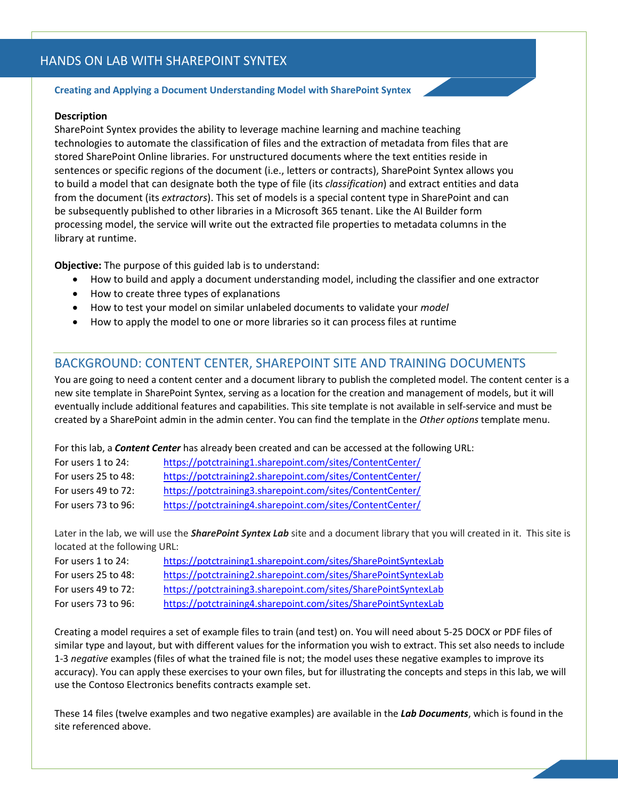# HANDS ON LAB WITH SHAREPOINT SYNTEX

#### **Creating and Applying a Document Understanding Model with SharePoint Syntex**

#### **Description**

SharePoint Syntex provides the ability to leverage machine learning and machine teaching technologies to automate the classification of files and the extraction of metadata from files that are stored SharePoint Online libraries. For unstructured documents where the text entities reside in sentences or specific regions of the document (i.e., letters or contracts), SharePoint Syntex allows you to build a model that can designate both the type of file (its *classification*) and extract entities and data from the document (its *extractors*). This set of models is a special content type in SharePoint and can be subsequently published to other libraries in a Microsoft 365 tenant. Like the AI Builder form processing model, the service will write out the extracted file properties to metadata columns in the library at runtime.

**Objective:** The purpose of this guided lab is to understand:

- How to build and apply a document understanding model, including the classifier and one extractor
- How to create three types of explanations
- How to test your model on similar unlabeled documents to validate your *model*
- How to apply the model to one or more libraries so it can process files at runtime

#### BACKGROUND: CONTENT CENTER, SHAREPOINT SITE AND TRAINING DOCUMENTS

You are going to need a content center and a document library to publish the completed model. The content center is a new site template in SharePoint Syntex, serving as a location for the creation and management of models, but it will eventually include additional features and capabilities. This site template is not available in self-service and must be created by a SharePoint admin in the admin center. You can find the template in the *Other options* template menu.

For this lab, a *Content Center* has already been created and can be accessed at the following URL:

| For users 1 to 24:  | https://potctraining1.sharepoint.com/sites/ContentCenter/ |
|---------------------|-----------------------------------------------------------|
| For users 25 to 48: | https://potctraining2.sharepoint.com/sites/ContentCenter/ |
| For users 49 to 72: | https://potctraining3.sharepoint.com/sites/ContentCenter/ |
| For users 73 to 96: | https://potctraining4.sharepoint.com/sites/ContentCenter/ |

Later in the lab, we will use the *SharePoint Syntex Lab* site and a document library that you will created in it. This site is located at the following URL:

| For users 1 to 24:       | https://potctraining1.sharepoint.com/sites/SharePointSyntexLab |
|--------------------------|----------------------------------------------------------------|
| For users $25$ to $48$ : | https://potctraining2.sharepoint.com/sites/SharePointSyntexLab |
| For users $49$ to $72$ : | https://potctraining3.sharepoint.com/sites/SharePointSyntexLab |
| For users 73 to 96:      | https://potctraining4.sharepoint.com/sites/SharePointSyntexLab |

Creating a model requires a set of example files to train (and test) on. You will need about 5-25 DOCX or PDF files of similar type and layout, but with different values for the information you wish to extract. This set also needs to include 1-3 *negative* examples (files of what the trained file is not; the model uses these negative examples to improve its accuracy). You can apply these exercises to your own files, but for illustrating the concepts and steps in this lab, we will use the Contoso Electronics benefits contracts example set.

These 14 files (twelve examples and two negative examples) are available in the *Lab Documents*, which is found in the site referenced above.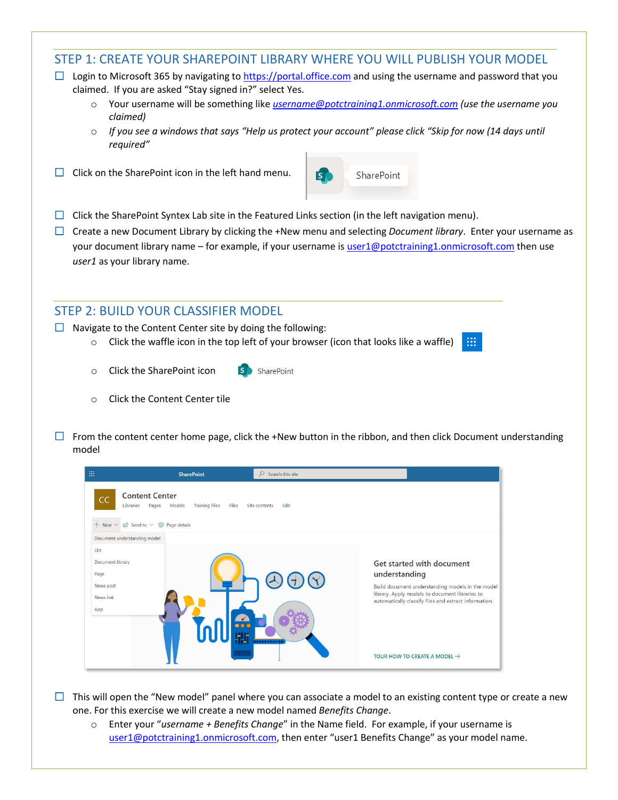# STEP 1: CREATE YOUR SHAREPOINT LIBRARY WHERE YOU WILL PUBLISH YOUR MODEL

- $\Box$  Login to Microsoft 365 by navigating to [https://portal.office.com](https://portal.office.com/) and using the username and password that you claimed. If you are asked "Stay signed in?" select Yes.
	- o Your username will be something like *[username@potctraining1.onmicrosoft.com](mailto:username@potctraining1.onmicrosoft.com) (use the username you claimed)*
	- o *If you see a windows that says "Help us protect your account" please click "Skip for now (14 days until required"*
- $\Box$  Click on the SharePoint icon in the left hand menu.



⊞

- $\Box$  Click the SharePoint Syntex Lab site in the Featured Links section (in the left navigation menu).
- Create a new Document Library by clicking the +New menu and selecting *Document library*. Enter your username as your document library name – for example, if your username i[s user1@potctraining1.onmicrosoft.com](mailto:user1@potctraining1.onmicrosoft.com) then use *user1* as your library name.

### STEP 2: BUILD YOUR CLASSIFIER MODEL

- $\Box$  Navigate to the Content Center site by doing the following:
	- $\circ$  Click the waffle icon in the top left of your browser (icon that looks like a waffle)

SharePoint

- o Click the SharePoint icon
- o Click the Content Center tile
- $\Box$  From the content center home page, click the +New button in the ribbon, and then click Document understanding model

| 曲<br><b>SharePoint</b>                                                                        | $\mathcal{Q}$<br>Search this site                                                                  |
|-----------------------------------------------------------------------------------------------|----------------------------------------------------------------------------------------------------|
| <b>Content Center</b><br>CC<br><b>Training Files</b><br>Files<br>Libraries<br>Models<br>Pages | Edit<br>Site contents                                                                              |
| $\Theta$ Send to $\vee$ $\otimes$ Page details<br>$+$ New $\times$                            |                                                                                                    |
| Document understanding model                                                                  |                                                                                                    |
| List                                                                                          |                                                                                                    |
| Document library                                                                              | Get started with document                                                                          |
| Page                                                                                          | understanding                                                                                      |
| News post                                                                                     | Build document understanding models in the model<br>library. Apply models to document libraries to |
| News link                                                                                     | automatically classify files and extract information.                                              |
| App                                                                                           |                                                                                                    |
|                                                                                               |                                                                                                    |
|                                                                                               | TOUR HOW TO CREATE A MODEL $\rightarrow$                                                           |

- $\Box$  This will open the "New model" panel where you can associate a model to an existing content type or create a new one. For this exercise we will create a new model named *Benefits Change*.
	- o Enter your "*username + Benefits Change*" in the Name field. For example, if your username is [user1@potctraining1.onmicrosoft.com](mailto:user1@potctraining1.onmicrosoft.com), then enter "user1 Benefits Change" as your model name.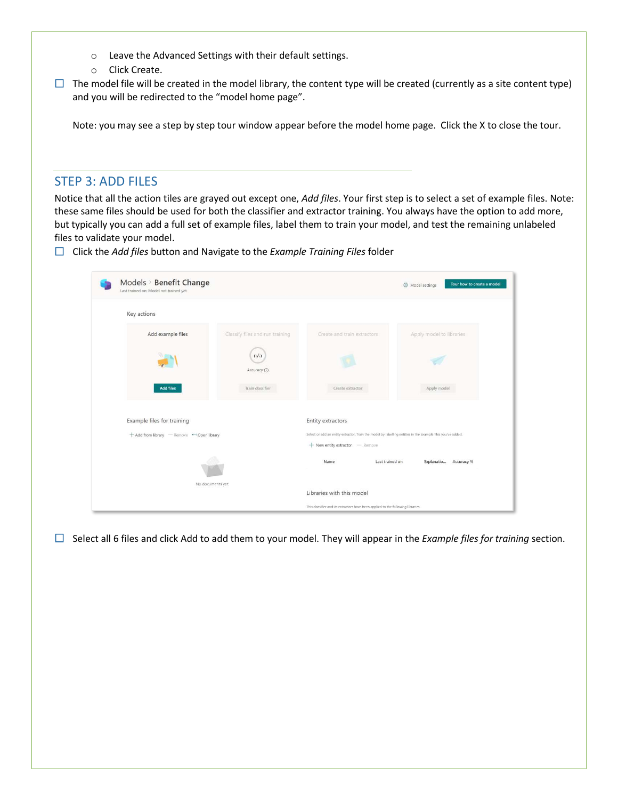- o Leave the Advanced Settings with their default settings.
- o Click Create.
- $\Box$  The model file will be created in the model library, the content type will be created (currently as a site content type) and you will be redirected to the "model home page".

Note: you may see a step by step tour window appear before the model home page. Click the X to close the tour.

### STEP 3: ADD FILES

Notice that all the action tiles are grayed out except one, *Add files*. Your first step is to select a set of example files. Note: these same files should be used for both the classifier and extractor training. You always have the option to add more, but typically you can add a full set of example files, label them to train your model, and test the remaining unlabeled files to validate your model.

Click the *Add files* button and Navigate to the *Example Training Files* folder

| Models > Benefit Change<br>Last trained on: Model not trained yet |                                 |                                                                                                                                                | Tour how to create a model<br>S Model settings |
|-------------------------------------------------------------------|---------------------------------|------------------------------------------------------------------------------------------------------------------------------------------------|------------------------------------------------|
| Key actions                                                       |                                 |                                                                                                                                                |                                                |
| Add example files                                                 | Classify files and run training | Create and train extractors                                                                                                                    | Apply model to libraries                       |
|                                                                   | n/a<br>Accuracy (               |                                                                                                                                                |                                                |
| <b>Add files</b>                                                  | Train classifier                | Create extractor                                                                                                                               | Apply model                                    |
| Example files for training                                        |                                 | Entity extractors                                                                                                                              |                                                |
| + Add from library - Remove < Open library                        |                                 | Select or add an entity extractor. Train the model by labelling entities in the example files you've added.<br>+ New entity extractor - Remove |                                                |
|                                                                   |                                 | Last trained on<br>Name                                                                                                                        | Explanatio Accuracy %                          |
|                                                                   | No documents yet.               | Libraries with this model                                                                                                                      |                                                |
|                                                                   |                                 |                                                                                                                                                |                                                |

 $\Box$  Select all 6 files and click Add to add them to your model. They will appear in the *Example files for training* section.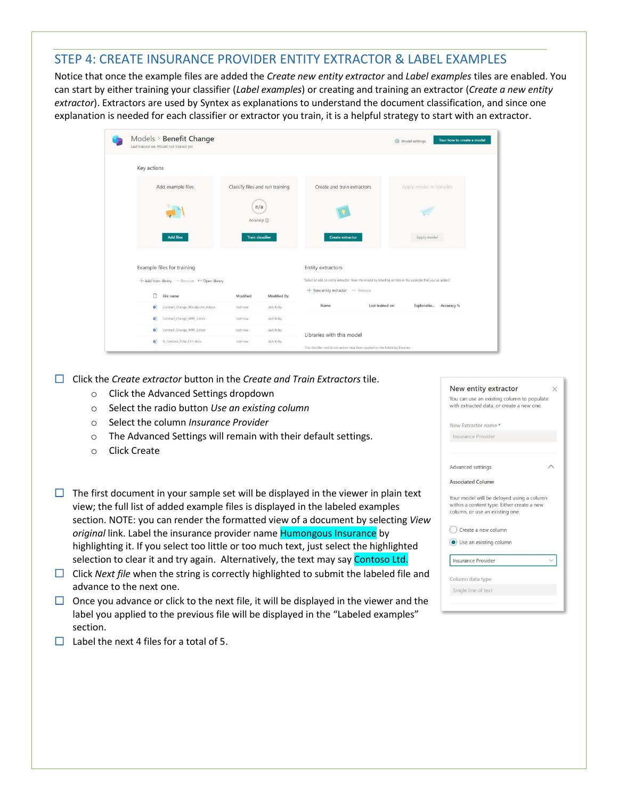# STEP 4: CREATE INSURANCE PROVIDER ENTITY EXTRACTOR & LABEL EXAMPLES

Notice that once the example files are added the *Create new entity extractor* and *Label examples* tiles are enabled. You can start by either training your classifier (*Label examples*) or creating and training an extractor (*Create a new entity extractor*). Extractors are used by Syntex as explanations to understand the document classification, and since one explanation is needed for each classifier or extractor you train, it is a helpful strategy to start with an extractor.

|             | Models > Benefit Change<br>Last trained on: Model not trained yet |                                 |                           |                                                                                                                                                | Model settings           | Tour how to create a model |
|-------------|-------------------------------------------------------------------|---------------------------------|---------------------------|------------------------------------------------------------------------------------------------------------------------------------------------|--------------------------|----------------------------|
| Key actions |                                                                   |                                 |                           |                                                                                                                                                |                          |                            |
|             | Add example files                                                 | Classify files and run training |                           | Create and train extractors                                                                                                                    | Apply model to libraries |                            |
|             |                                                                   | n/a<br>Accuracy <b>O</b>        |                           |                                                                                                                                                |                          |                            |
|             | <b>Add files</b>                                                  | <b>Train classifier</b>         |                           | <b>Create extractor</b>                                                                                                                        | Apply model              |                            |
|             | Example files for training                                        |                                 |                           | Entity extractors                                                                                                                              |                          |                            |
|             | + Add from library - Remove + Open library                        |                                 |                           | Select or add an entity extractor. Train the model by labelling entities in the example files you've added.<br>+ New entity extractor - Remove |                          |                            |
|             | n<br>File name<br>Contract Change Woodgrove 4.docx<br>$\alpha$    | Modified<br>Just now            | Modified By<br>Jack Kirby | Name                                                                                                                                           | Last trained on          | Explanatio Accuracy %      |
|             | Contract_Change_WWI_1.docx<br>o.                                  | Just now                        | Jack Kirby                |                                                                                                                                                |                          |                            |
|             | Contract Change WWI 2.docx<br>o.                                  | Just now                        | Jack Kirby.               | Libraries with this model                                                                                                                      |                          |                            |
|             | $\sigma$<br>N_Contoso_SOW_CSI1.docx                               | Just now                        | Jack Kirby                | This classifier and its extractors have been applied to the following libraries.                                                               |                          |                            |

Click the *Create extractor* button in the *Create and Train Extractors* tile.

- o Click the Advanced Settings dropdown
- o Select the radio button *Use an existing column*
- o Select the column *Insurance Provider*
- o The Advanced Settings will remain with their default settings.
- o Click Create
- $\Box$  The first document in your sample set will be displayed in the viewer in plain text view; the full list of added example files is displayed in the labeled examples section. NOTE: you can render the formatted view of a document by selecting *View original* link. Label the insurance provider name Humongous Insurance by highlighting it. If you select too little or too much text, just select the highlighted selection to clear it and try again. Alternatively, the text may say Contoso Ltd.
- $\Box$  Click *Next file* when the string is correctly highlighted to submit the labeled file and advance to the next one.
- $\Box$  Once you advance or click to the next file, it will be displayed in the viewer and the label you applied to the previous file will be displayed in the "Labeled examples" section.

| New entity extractor                                                                                                       |  |
|----------------------------------------------------------------------------------------------------------------------------|--|
| You can use an existing column to populate<br>with extracted data, or create a new one.                                    |  |
| New Extractor name*                                                                                                        |  |
| Insurance Provider                                                                                                         |  |
| Advanced settings                                                                                                          |  |
| <b>Associated Column</b>                                                                                                   |  |
| Your model will be deloyed using a column<br>within a content type. Either create a new<br>column, or use an existing one. |  |
| Create a new column                                                                                                        |  |
| (c) Use an existing column                                                                                                 |  |
| Insurance Provider                                                                                                         |  |

 $\Box$  Label the next 4 files for a total of 5.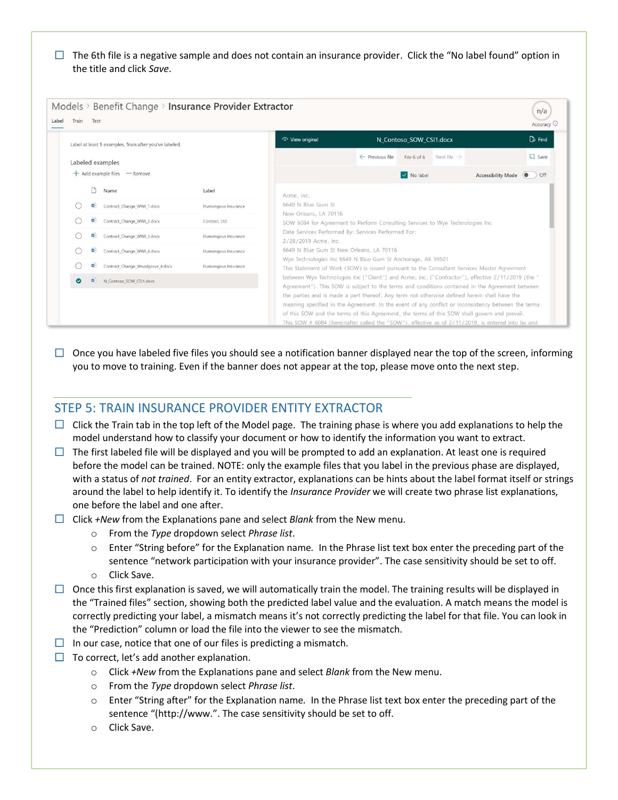$\Box$  The 6th file is a negative sample and does not contain an insurance provider. Click the "No label found" option in the title and click *Save*.

| Label at least 5 examples. Train after you've labeled. |                     | ⊙ View original                                                             |                            | N Contoso SOW CSI1.docx                                                        | $\n  End\n$                                                                                       |
|--------------------------------------------------------|---------------------|-----------------------------------------------------------------------------|----------------------------|--------------------------------------------------------------------------------|---------------------------------------------------------------------------------------------------|
| Labeled examples                                       |                     |                                                                             | $\leftarrow$ Previous file | Next file $\rightarrow$<br>File 6 of 6                                         | $\Box$ Save                                                                                       |
| $+$ Add example files $-$ Remove                       |                     |                                                                             |                            | V No label                                                                     | <b>Accessibility Mode</b><br>$\bullet$ off                                                        |
| Name                                                   | Label               | Acme, inc.                                                                  |                            |                                                                                |                                                                                                   |
| $\omega$<br>Contract_Change_WWI_1.docx                 | Humongous Insurance | 6649 N Blue Gum St                                                          |                            |                                                                                |                                                                                                   |
| w.<br>Contract Change WWI 2.docx                       | Contoso, Ltd.       | New Orleans, LA 70116                                                       |                            | SOW 6084 for Agreement to Perform Consulting Services to Wye Technologies Inc. |                                                                                                   |
| 四<br>Contract Change WWI 3.docx                        | Humongous Insurance | Date Services Performed By: Services Performed For:<br>2/28/2019 Acme, inc. |                            |                                                                                |                                                                                                   |
| Contract Change WWI 4.docx<br>中                        | Humongous Insurance | 6649 N Blue Gum St New Orleans, LA 70116                                    |                            |                                                                                |                                                                                                   |
| 中<br>Contract Change Woodgrove 4.docx                  | Humongous Insurance | Wye Technologies Inc 6649 N Blue Gum St Anchorage, AK 99501                 |                            |                                                                                | This Statement of Work (SOW) is issued pursuant to the Consultant Services Master Agreement       |
| $\bullet$<br>$\overline{a}$<br>N Contoso SOW CSI1.docx |                     |                                                                             |                            |                                                                                | between Wye Technologies Inc ("Client") and Acme, inc. ("Contractor"), effective 2/11/2019 (the " |

 $\Box$  Once you have labeled five files you should see a notification banner displayed near the top of the screen, informing you to move to training. Even if the banner does not appear at the top, please move onto the next step.

#### STEP 5: TRAIN INSURANCE PROVIDER ENTITY EXTRACTOR

- $\Box$  Click the Train tab in the top left of the Model page. The training phase is where you add explanations to help the model understand how to classify your document or how to identify the information you want to extract.
- $\Box$  The first labeled file will be displayed and you will be prompted to add an explanation. At least one is required before the model can be trained. NOTE: only the example files that you label in the previous phase are displayed, with a status of *not trained*. For an entity extractor, explanations can be hints about the label format itself or strings around the label to help identify it. To identify the *Insurance Provider* we will create two phrase list explanations, one before the label and one after.
- Click *+New* from the Explanations pane and select *Blank* from the New menu.
	- o From the *Type* dropdown select *Phrase list*.
	- o Enter "String before" for the Explanation name*.* In the Phrase list text box enter the preceding part of the sentence "network participation with your insurance provider". The case sensitivity should be set to off.
	- o Click Save.
- $\Box$  Once this first explanation is saved, we will automatically train the model. The training results will be displayed in the "Trained files" section, showing both the predicted label value and the evaluation. A match means the model is correctly predicting your label, a mismatch means it's not correctly predicting the label for that file. You can look in the "Prediction" column or load the file into the viewer to see the mismatch.
- $\Box$  In our case, notice that one of our files is predicting a mismatch.
- $\Box$  To correct, let's add another explanation.
	- o Click *+New* from the Explanations pane and select *Blank* from the New menu.
	- o From the *Type* dropdown select *Phrase list*.
	- o Enter "String after" for the Explanation name*.* In the Phrase list text box enter the preceding part of the sentence "(http://www.". The case sensitivity should be set to off.
	- o Click Save.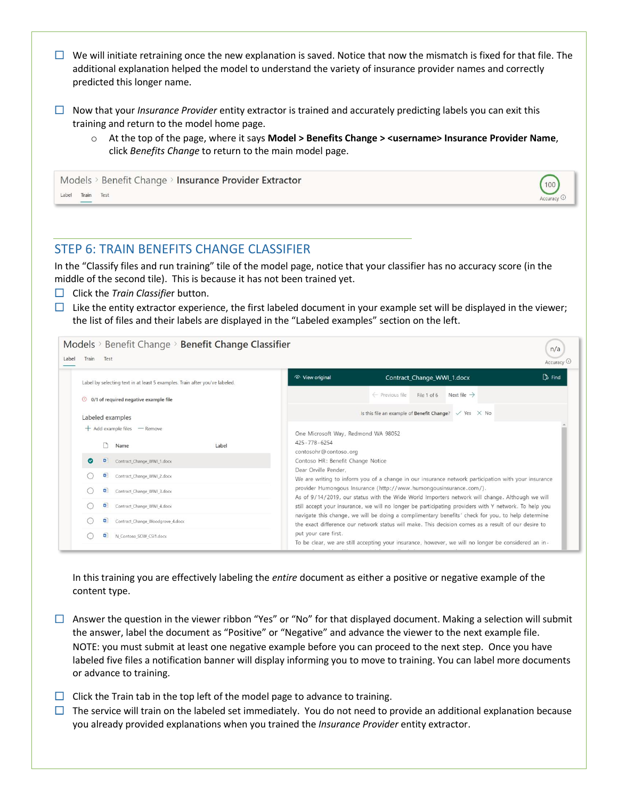- $\Box$  We will initiate retraining once the new explanation is saved. Notice that now the mismatch is fixed for that file. The additional explanation helped the model to understand the variety of insurance provider names and correctly predicted this longer name.
- Now that your *Insurance Provider* entity extractor is trained and accurately predicting labels you can exit this training and return to the model home page.
	- o At the top of the page, where it says **Model > Benefits Change > <username> Insurance Provider Name**, click *Benefits Change* to return to the main model page.

100  $c$ curacy  $\odot$ 

|       |            | Models > Benefit Change > Insurance Provider Extractor |  |
|-------|------------|--------------------------------------------------------|--|
| Label | Train Test |                                                        |  |



In the "Classify files and run training" tile of the model page, notice that your classifier has no accuracy score (in the middle of the second tile). This is because it has not been trained yet.

- **Click the** *Train Classifier* button.
- $\Box$  Like the entity extractor experience, the first labeled document in your example set will be displayed in the viewer; the list of files and their labels are displayed in the "Labeled examples" section on the left.

| Label by selecting text in at least 5 examples. Train after you've labeled. | $\n  End\n$<br>o View original<br>Contract Change WWI 1.docx                                                                                                                                             |
|-----------------------------------------------------------------------------|----------------------------------------------------------------------------------------------------------------------------------------------------------------------------------------------------------|
| $\odot$ 0/1 of required negative example file                               | Next file $\rightarrow$<br>$\leftarrow$ Previous file<br>File 1 of 6                                                                                                                                     |
| Labeled examples                                                            | Is this file an example of Benefit Change? $\sqrt{ }$ Yes $\times$ No                                                                                                                                    |
| + Add example files - Remove                                                | One Microsoft Way, Redmond WA 98052                                                                                                                                                                      |
| Label<br>Name                                                               | 425-778-6254<br>contosohr@contoso.org                                                                                                                                                                    |
| $\bullet$<br>٠<br>Contract_Change_WWI_1.docx                                | Contoso HR: Benefit Change Notice                                                                                                                                                                        |
| 中<br>Contract Change WWI 2.docx                                             | Dear Orville Pender.<br>We are writing to inform you of a change in our insurance network participation with your insurance                                                                              |
| œ.<br>Contract_Change_WWI_3.docx                                            | provider Humongous Insurance (http://www.humongousinsurance.com/).                                                                                                                                       |
| œ۱<br>Contract Change WWI 4.docx                                            | As of 9/14/2019, our status with the Wide World Importers network will change. Although we will<br>still accept your insurance, we will no longer be participating providers with Y network. To help you |
| Contract Change Woodgrove 4.docx<br>o.                                      | navigate this change, we will be doing a complimentary benefits' check for you, to help determine<br>the exact difference our network status will make. This decision comes as a result of our desire to |

In this training you are effectively labeling the *entire* document as either a positive or negative example of the content type.

 $\Box$  Answer the question in the viewer ribbon "Yes" or "No" for that displayed document. Making a selection will submit the answer, label the document as "Positive" or "Negative" and advance the viewer to the next example file. NOTE: you must submit at least one negative example before you can proceed to the next step. Once you have labeled five files a notification banner will display informing you to move to training. You can label more documents or advance to training.

- $\Box$  Click the Train tab in the top left of the model page to advance to training.
- $\Box$  The service will train on the labeled set immediately. You do not need to provide an additional explanation because you already provided explanations when you trained the *Insurance Provider* entity extractor.